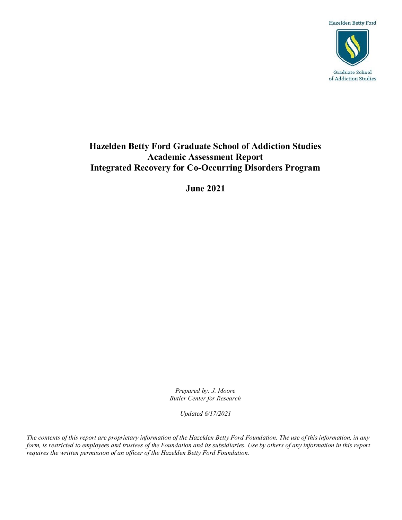Hazelden Betty Ford



# **Hazelden Betty Ford Graduate School of Addiction Studies Academic Assessment Report Integrated Recovery for Co-Occurring Disorders Program**

**June 2021**

*Prepared by: J. Moore Butler Center for Research*

*Updated 6/17/2021*

*The contents of this report are proprietary information of the Hazelden Betty Ford Foundation. The use of this information, in any form, is restricted to employees and trustees of the Foundation and its subsidiaries. Use by others of any information in this report requires the written permission of an officer of the Hazelden Betty Ford Foundation.*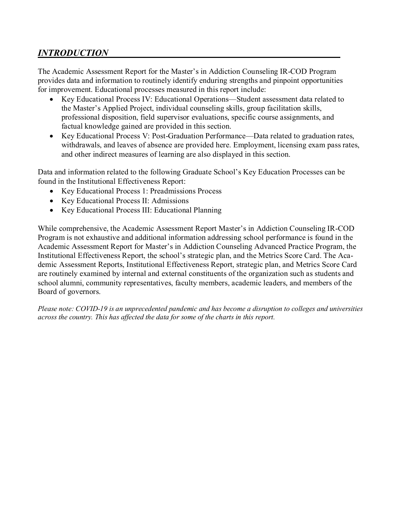# *INTRODUCTION*

The Academic Assessment Report for the Master's in Addiction Counseling IR-COD Program provides data and information to routinely identify enduring strengths and pinpoint opportunities for improvement. Educational processes measured in this report include:

- Key Educational Process IV: Educational Operations—Student assessment data related to the Master's Applied Project, individual counseling skills, group facilitation skills, professional disposition, field supervisor evaluations, specific course assignments, and factual knowledge gained are provided in this section.
- Key Educational Process V: Post-Graduation Performance—Data related to graduation rates, withdrawals, and leaves of absence are provided here. Employment, licensing exam pass rates, and other indirect measures of learning are also displayed in this section.

Data and information related to the following Graduate School's Key Education Processes can be found in the Institutional Effectiveness Report:

- Key Educational Process 1: Preadmissions Process
- Key Educational Process II: Admissions
- Key Educational Process III: Educational Planning

While comprehensive, the Academic Assessment Report Master's in Addiction Counseling IR-COD Program is not exhaustive and additional information addressing school performance is found in the Academic Assessment Report for Master's in Addiction Counseling Advanced Practice Program, the Institutional Effectiveness Report, the school's strategic plan, and the Metrics Score Card. The Academic Assessment Reports, Institutional Effectiveness Report, strategic plan, and Metrics Score Card are routinely examined by internal and external constituents of the organization such as students and school alumni, community representatives, faculty members, academic leaders, and members of the Board of governors.

*Please note: COVID-19 is an unprecedented pandemic and has become a disruption to colleges and universities across the country. This has affected the data for some of the charts in this report.*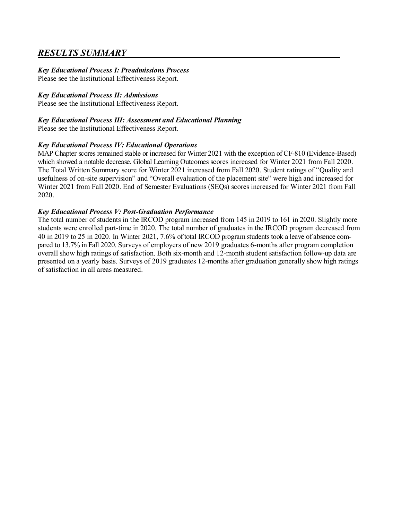# *RESULTS SUMMARY*

# *Key Educational Process I: Preadmissions Process*

Please see the Institutional Effectiveness Report.

# *Key Educational Process II: Admissions*

Please see the Institutional Effectiveness Report.

# *Key Educational Process III: Assessment and Educational Planning*

Please see the Institutional Effectiveness Report.

# *Key Educational Process IV: Educational Operations*

MAP Chapter scores remained stable or increased for Winter 2021 with the exception of CF-810 (Evidence-Based) which showed a notable decrease. Global Learning Outcomes scores increased for Winter 2021 from Fall 2020. The Total Written Summary score for Winter 2021 increased from Fall 2020. Student ratings of "Quality and usefulness of on-site supervision" and "Overall evaluation of the placement site" were high and increased for Winter 2021 from Fall 2020. End of Semester Evaluations (SEQs) scores increased for Winter 2021 from Fall 2020.

# *Key Educational Process V: Post-Graduation Performance*

The total number of students in the IRCOD program increased from 145 in 2019 to 161 in 2020. Slightly more students were enrolled part-time in 2020. The total number of graduates in the IRCOD program decreased from 40 in 2019 to 25 in 2020. In Winter 2021, 7.6% of total IRCOD program students took a leave of absence compared to 13.7% in Fall 2020. Surveys of employers of new 2019 graduates 6-months after program completion overall show high ratings of satisfaction. Both six-month and 12-month student satisfaction follow-up data are presented on a yearly basis. Surveys of 2019 graduates 12-months after graduation generally show high ratings of satisfaction in all areas measured.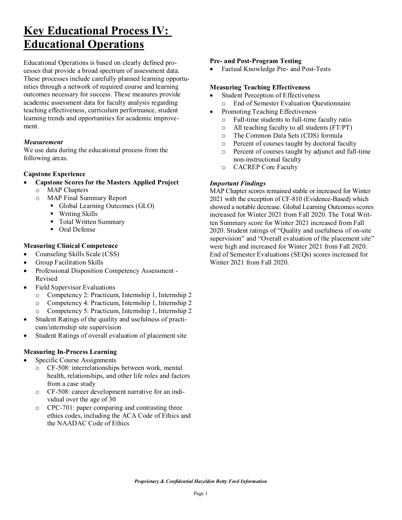# **Key Educational Process IV: Educational Operations**

Educational Operations is based on clearly defined processes that provide a broad spectrum of assessment data. These processes include carefully planned learning opportunities through a network of required course and learning outcomes necessary for success. These measures provide academic assessment data for faculty analysis regarding teaching effectiveness, curriculum performance, student learning trends and opportunities for academic improvement.

# *Measurement*

We use data during the educational process from the following areas.

# **Capstone Experience**

- **Capstone Scores for the Masters Applied Project**
	- o MAP Chapters
	- o MAP Final Summary Report
		- Global Learning Outcomes (GLO)
		- Writing Skills
		- Total Written Summary
		- Oral Defense

# **Measuring Clinical Competence**

- Counseling Skills Scale (CSS)
- Group Facilitation Skills
- Professional Disposition Competency Assessment Revised
- Field Supervisor Evaluations
	- o Competency 2: Practicum, Internship 1, Internship 2
	- o Competency 4: Practicum, Internship 1, Internship 2
	- o Competency 5: Practicum, Internship 1, Internship 2
- Student Ratings of the quality and usefulness of practicum/internship site supervision
- Student Ratings of overall evaluation of placement site

# **Measuring In-Process Learning**

- Specific Course Assignments
	- o CF-508: interrelationships between work, mental health, relationships, and other life roles and factors from a case study
	- o CF-508: career development narrative for an individual over the age of 30
	- o CPC-701: paper comparing and contrasting three ethics codes, including the ACA Code of Ethics and the NAADAC Code of Ethics

#### **Pre- and Post-Program Testing**

• Factual Knowledge Pre- and Post-Tests

# **Measuring Teaching Effectiveness**

- Student Perception of Effectiveness
	- o End of Semester Evaluation Questionnaire
- Promoting Teaching Effectiveness
	- $\circ$  Full-time students to full-time faculty ratio<br> $\circ$  All teaching faculty to all students (FT/PT)
	- All teaching faculty to all students  $(FT/PT)$
	- o The Common Data Sets (CDS) formula
	- o Percent of courses taught by doctoral faculty
	- o Percent of courses taught by adjunct and full-time non-instructional faculty
	- o CACREP Core Faculty

# *Important Findings*

MAP Chapter scores remained stable or increased for Winter 2021 with the exception of CF-810 (Evidence-Based) which showed a notable decrease. Global Learning Outcomes scores increased for Winter 2021 from Fall 2020. The Total Written Summary score for Winter 2021 increased from Fall 2020. Student ratings of "Quality and usefulness of on-site supervision" and "Overall evaluation of the placement site" were high and increased for Winter 2021 from Fall 2020. End of Semester Evaluations (SEQs) scores increased for Winter 2021 from Fall 2020.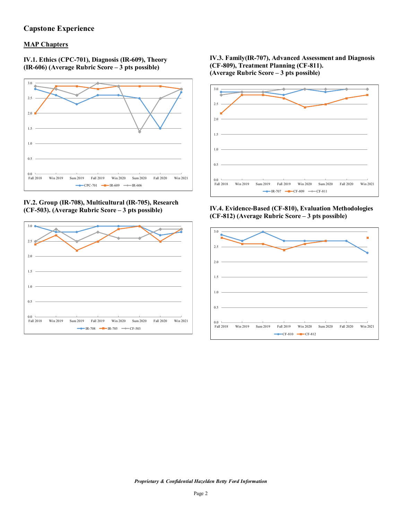# **Capstone Experience**

# **MAP Chapters**

**IV.1. Ethics (CPC-701), Diagnosis (IR-609), Theory (IR-606) (Average Rubric Score – 3 pts possible)**



**IV.2. Group (IR-708), Multicultural (IR-705), Research (CF-503). (Average Rubric Score – 3 pts possible)**



#### **IV.3. Family(IR-707), Advanced Assessment and Diagnosis (CF-809), Treatment Planning (CF-811). (Average Rubric Score – 3 pts possible)**



**IV.4. Evidence-Based (CF-810), Evaluation Methodologies (CF-812) (Average Rubric Score – 3 pts possible)**

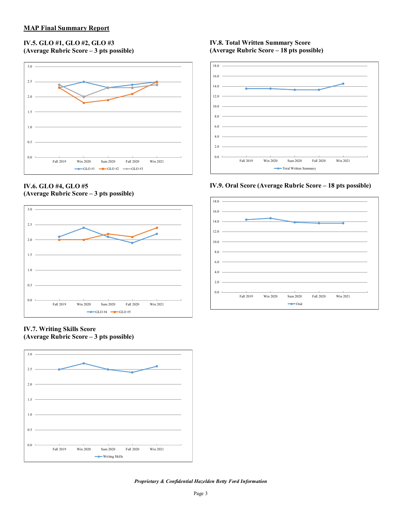#### **IV.5. GLO #1, GLO #2, GLO #3 (Average Rubric Score – 3 pts possible)**



#### **IV.6. GLO #4, GLO #5 (Average Rubric Score – 3 pts possible)**



**IV.7. Writing Skills Score (Average Rubric Score – 3 pts possible)**



#### **IV.8. Total Written Summary Score (Average Rubric Score – 18 pts possible)**



**IV.9. Oral Score (Average Rubric Score – 18 pts possible)** 



*Proprietary & Confidential Hazelden Betty Ford Information*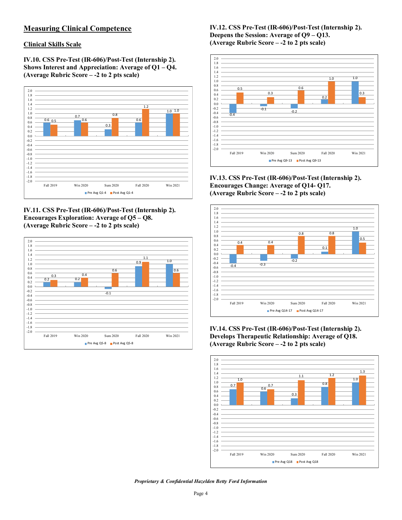# **Measuring Clinical Competence**

#### **Clinical Skills Scale**

**IV.10. CSS Pre-Test (IR-606)/Post-Test (Internship 2). Shows Interest and Appreciation: Average of Q1 – Q4. (Average Rubric Score – -2 to 2 pts scale)** 



**IV.11. CSS Pre-Test (IR-606)/Post-Test (Internship 2). Encourages Exploration: Average of Q5 – Q8. (Average Rubric Score – -2 to 2 pts scale)** 



**IV.12. CSS Pre-Test (IR-606)/Post-Test (Internship 2). Deepens the Session: Average of Q9 – Q13. (Average Rubric Score – -2 to 2 pts scale)** 



**IV.13. CSS Pre-Test (IR-606)/Post-Test (Internship 2). Encourages Change: Average of Q14- Q17. (Average Rubric Score – -2 to 2 pts scale)** 



**IV.14. CSS Pre-Test (IR-606)/Post-Test (Internship 2). Develops Therapeutic Relationship: Average of Q18. (Average Rubric Score – -2 to 2 pts scale)** 

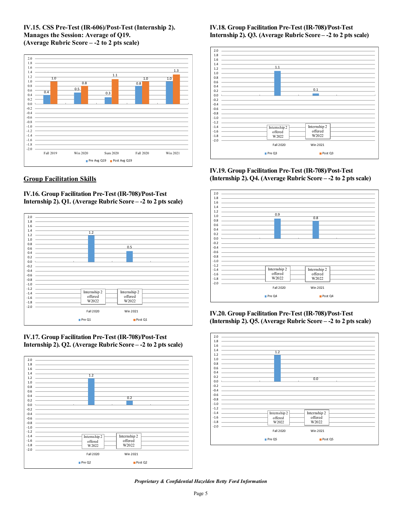#### **IV.15. CSS Pre-Test (IR-606)/Post-Test (Internship 2). Manages the Session: Average of Q19. (Average Rubric Score – -2 to 2 pts scale)**



# **Group Facilitation Skills**

**IV.16. Group Facilitation Pre-Test (IR-708)/Post-Test Internship 2). Q1. (Average Rubric Score – -2 to 2 pts scale)**



**IV.17. Group Facilitation Pre-Test (IR-708)/Post-Test Internship 2). Q2. (Average Rubric Score – -2 to 2 pts scale)**



# **IV.18. Group Facilitation Pre-Test (IR-708)/Post-Test Internship 2). Q3. (Average Rubric Score – -2 to 2 pts scale)**



#### **IV.19. Group Facilitation Pre-Test (IR-708)/Post-Test (Internship 2). Q4. (Average Rubric Score – -2 to 2 pts scale)**



**IV.20. Group Facilitation Pre-Test (IR-708)/Post-Test (Internship 2). Q5. (Average Rubric Score – -2 to 2 pts scale)**

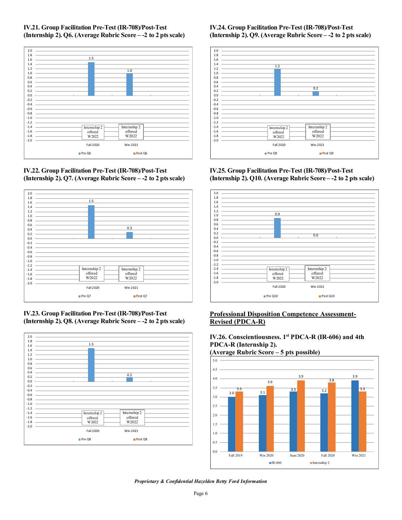#### **IV.21. Group Facilitation Pre-Test (IR-708)/Post-Test (Internship 2). Q6. (Average Rubric Score – -2 to 2 pts scale)**







**IV.23. Group Facilitation Pre-Test (IR-708)/Post-Test (Internship 2). Q8. (Average Rubric Score – -2 to 2 pts scale)**



#### **IV.24. Group Facilitation Pre-Test (IR-708)/Post-Test (Internship 2). Q9. (Average Rubric Score – -2 to 2 pts scale)**



#### **IV.25. Group Facilitation Pre-Test (IR-708)/Post-Test (Internship 2). Q10. (Average Rubric Score – -2 to 2 pts scale)**



# **Professional Disposition Competence Assessment-Revised (PDCA-R)**

**IV.26. Conscientiousness. 1st PDCA-R (IR-606) and 4th PDCA-R (Internship 2). (Average Rubric Score – 5 pts possible)** 

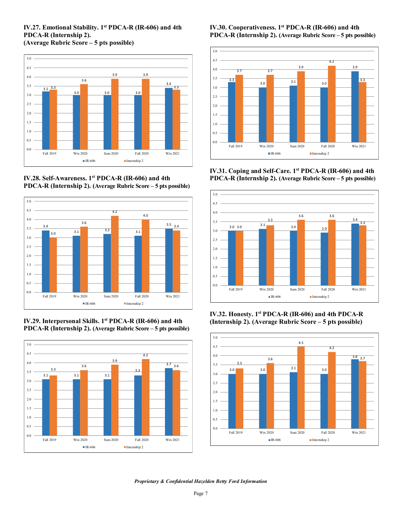#### **IV.27. Emotional Stability. 1st PDCA-R (IR-606) and 4th PDCA-R (Internship 2). (Average Rubric Score – 5 pts possible)**



**IV.28. Self-Awareness. 1st PDCA-R (IR-606) and 4th PDCA-R (Internship 2). (Average Rubric Score – 5 pts possible)**



**IV.29. Interpersonal Skills. 1st PDCA-R (IR-606) and 4th PDCA-R (Internship 2). (Average Rubric Score – 5 pts possible)**



# **IV.30. Cooperativeness. 1st PDCA-R (IR-606) and 4th PDCA-R (Internship 2). (Average Rubric Score – 5 pts possible)**



**IV.31. Coping and Self-Care. 1st PDCA-R (IR-606) and 4th PDCA-R (Internship 2). (Average Rubric Score – 5 pts possible)**



**IV.32. Honesty. 1st PDCA-R (IR-606) and 4th PDCA-R (Internship 2). (Average Rubric Score – 5 pts possible)**

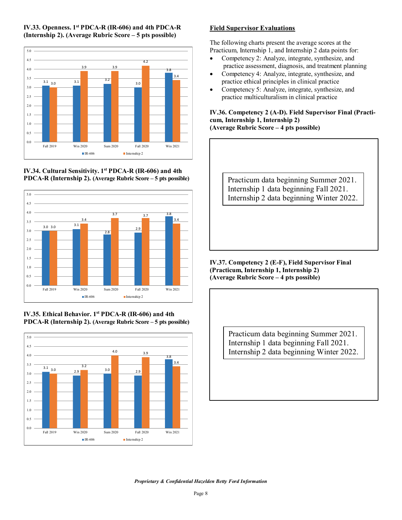

#### **IV.33. Openness. 1st PDCA-R (IR-606) and 4th PDCA-R (Internship 2). (Average Rubric Score – 5 pts possible)**

**IV.34. Cultural Sensitivity. 1st PDCA-R (IR-606) and 4th PDCA-R (Internship 2). (Average Rubric Score – 5 pts possible)**



**IV.35. Ethical Behavior. 1st PDCA-R (IR-606) and 4th PDCA-R (Internship 2). (Average Rubric Score – 5 pts possible)**



# **Field Supervisor Evaluations**

The following charts present the average scores at the Practicum, Internship 1, and Internship 2 data points for:

- Competency 2: Analyze, integrate, synthesize, and practice assessment, diagnosis, and treatment planning
- Competency 4: Analyze, integrate, synthesize, and practice ethical principles in clinical practice
- Competency 5: Analyze, integrate, synthesize, and practice multiculturalism in clinical practice

#### **IV.36. Competency 2 (A-D). Field Supervisor Final (Practicum, Internship 1, Internship 2) (Average Rubric Score – 4 pts possible)**

Practicum data beginning Summer 2021. Internship 1 data beginning Fall 2021. Internship 2 data beginning Winter 2022.

**IV.37. Competency 2 (E-F), Field Supervisor Final (Practicum, Internship 1, Internship 2) (Average Rubric Score – 4 pts possible)** 

> Practicum data beginning Summer 2021. Internship 1 data beginning Fall 2021. Internship 2 data beginning Winter 2022.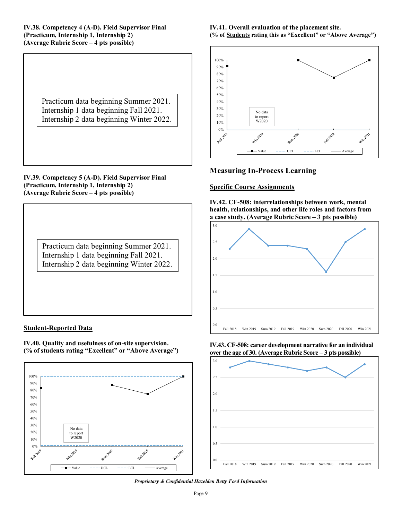**IV.38. Competency 4 (A-D). Field Supervisor Final (Practicum, Internship 1, Internship 2) (Average Rubric Score – 4 pts possible)** 

> Practicum data beginning Summer 2021. Internship 1 data beginning Fall 2021. Internship 2 data beginning Winter 2022.

**IV.39. Competency 5 (A-D). Field Supervisor Final (Practicum, Internship 1, Internship 2) (Average Rubric Score – 4 pts possible)** 

> Practicum data beginning Summer 2021. Internship 1 data beginning Fall 2021. Internship 2 data beginning Winter 2022.

# **Student-Reported Data**

**IV.40. Quality and usefulness of on-site supervision. (% of students rating "Excellent" or "Above Average")** 



**IV.41. Overall evaluation of the placement site. (% of Students rating this as "Excellent" or "Above Average")**



# **Measuring In-Process Learning**

#### **Specific Course Assignments**

**IV.42. CF-508: interrelationships between work, mental health, relationships, and other life roles and factors from a case study. (Average Rubric Score – 3 pts possible)**



#### **IV.43. CF-508: career development narrative for an individual over the age of 30. (Average Rubric Score – 3 pts possible)**

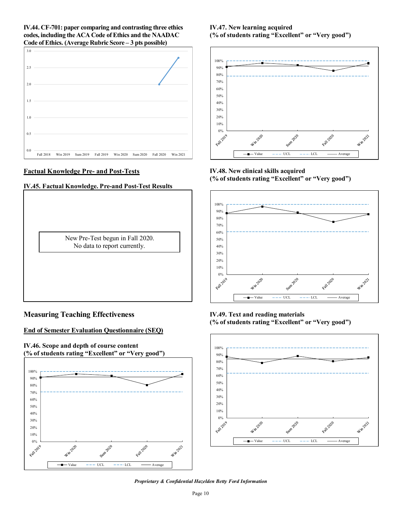**IV.44. CF-701: paper comparing and contrasting three ethics codes, including the ACA Code of Ethics and the NAADAC Code of Ethics. (Average Rubric Score – 3 pts possible)**



# **Factual Knowledge Pre- and Post-Tests**

#### **IV.45. Factual Knowledge. Pre-and Post-Test Results**

New Pre-Test begun in Fall 2020. No data to report currently.

# **Measuring Teaching Effectiveness**

#### **End of Semester Evaluation Questionnaire (SEQ)**



#### **IV.47. New learning acquired (% of students rating "Excellent" or "Very good")**



**IV.48. New clinical skills acquired (% of students rating "Excellent" or "Very good")** 



**IV.49. Text and reading materials (% of students rating "Excellent" or "Very good")** 



*Proprietary & Confidential Hazelden Betty Ford Information*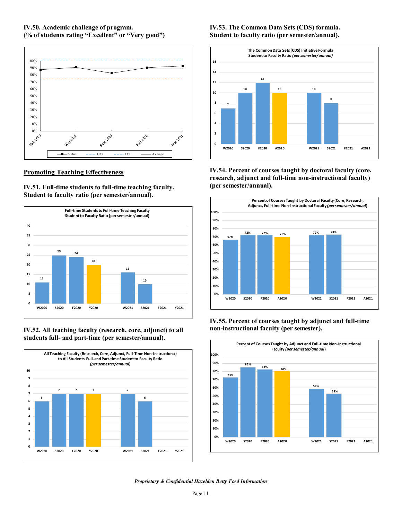#### **IV.50. Academic challenge of program. (% of students rating "Excellent" or "Very good")**



#### **Promoting Teaching Effectiveness**

**IV.51. Full-time students to full-time teaching faculty. Student to faculty ratio (per semester/annual).** 



**IV.52. All teaching faculty (research, core, adjunct) to all students full- and part-time (per semester/annual).** 



# **IV.53. The Common Data Sets (CDS) formula. Student to faculty ratio (per semester/annual).**



**IV.54. Percent of courses taught by doctoral faculty (core, research, adjunct and full-time non-instructional faculty) (per semester/annual).**



#### **IV.55. Percent of courses taught by adjunct and full-time non-instructional faculty (per semester).**

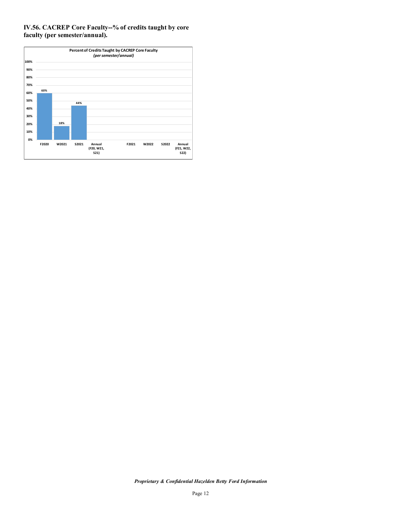# **IV.56. CACREP Core Faculty--% of credits taught by core faculty (per semester/annual).**

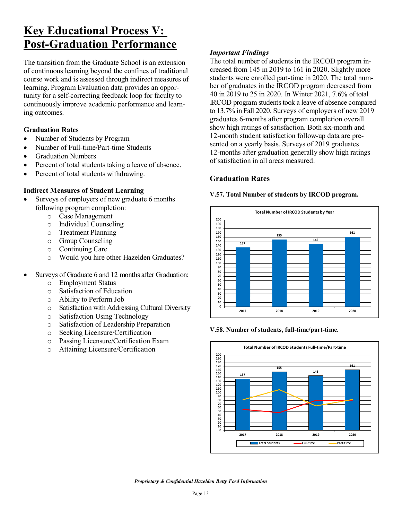# **Key Educational Process V: Post-Graduation Performance**

The transition from the Graduate School is an extension of continuous learning beyond the confines of traditional course work and is assessed through indirect measures of learning. Program Evaluation data provides an opportunity for a self-correcting feedback loop for faculty to continuously improve academic performance and learning outcomes.

# **Graduation Rates**

- Number of Students by Program
- Number of Full-time/Part-time Students
- Graduation Numbers
- Percent of total students taking a leave of absence.
- Percent of total students withdrawing.

# **Indirect Measures of Student Learning**

- Surveys of employers of new graduate 6 months following program completion:
	- o Case Management
	- $\circ$  Individual Counseling<br>  $\circ$  Treatment Planning
	- **Treatment Planning**
	- o Group Counseling
	- o Continuing Care
	- o Would you hire other Hazelden Graduates?
- Surveys of Graduate 6 and 12 months after Graduation:
	- o Employment Status<br>
	o Satisfaction of Educ
	- o Satisfaction of Education
	- Ability to Perform Job
	- o Satisfaction with Addressing Cultural Diversity
	- o Satisfaction Using Technology
	- Satisfaction of Leadership Preparation
	- o Seeking Licensure/Certification
	- o Passing Licensure/Certification Exam<br>
	o Attaining Licensure/Certification
	- Attaining Licensure/Certification

# *Important Findings*

The total number of students in the IRCOD program increased from 145 in 2019 to 161 in 2020. Slightly more students were enrolled part-time in 2020. The total number of graduates in the IRCOD program decreased from 40 in 2019 to 25 in 2020. In Winter 2021, 7.6% of total IRCOD program students took a leave of absence compared to 13.7% in Fall 2020. Surveys of employers of new 2019 graduates 6-months after program completion overall show high ratings of satisfaction. Both six-month and 12-month student satisfaction follow-up data are presented on a yearly basis. Surveys of 2019 graduates 12-months after graduation generally show high ratings of satisfaction in all areas measured.

# **Graduation Rates**

#### **V.57. Total Number of students by IRCOD program.**



#### **V.58. Number of students, full-time/part-time.**

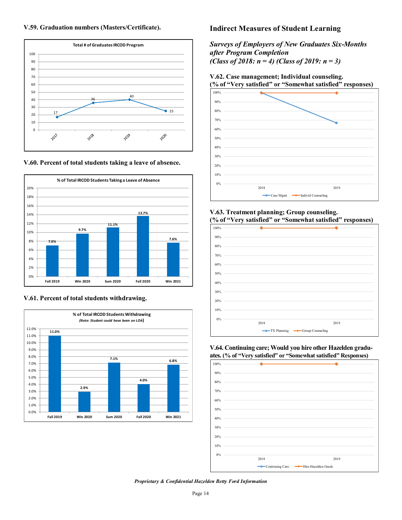



**V.60. Percent of total students taking a leave of absence.** 



# **V.61. Percent of total students withdrawing.**



# **Indirect Measures of Student Learning**

*Surveys of Employers of New Graduates Six-Months after Program Completion (Class of 2018: n = 4) (Class of 2019: n = 3)* 



#### **V.63. Treatment planning; Group counseling. (% of "Very satisfied" or "Somewhat satisfied" responses)**



#### **V.64. Continuing care; Would you hire other Hazelden graduates. (% of "Very satisfied" or "Somewhat satisfied" Responses)**

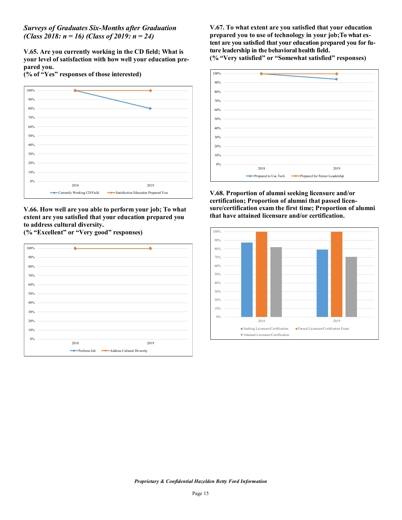*Surveys of Graduates Six-Months after Graduation (Class 2018: n = 16) (Class of 2019: n = 24)*

**V.65. Are you currently working in the CD field; What is your level of satisfaction with how well your education prepared you.** 

**(% of "Yes" responses of those interested)**



**V.66. How well are you able to perform your job; To what extent are you satisfied that your education prepared you to address cultural diversity.** 

**(% "Excellent" or "Very good" responses)** 



**V.67. To what extent are you satisfied that your education prepared you to use of technology in your job;To what extent are you satisfied that your education prepared you for future leadership in the behavioral health field.**

**(% "Very satisfied" or "Somewhat satisfied" responses)**



**V.68. Proportion of alumni seeking licensure and/or certification; Proportion of alumni that passed licensure/certification exam the first time; Proportion of alumni that have attained licensure and/or certification.**